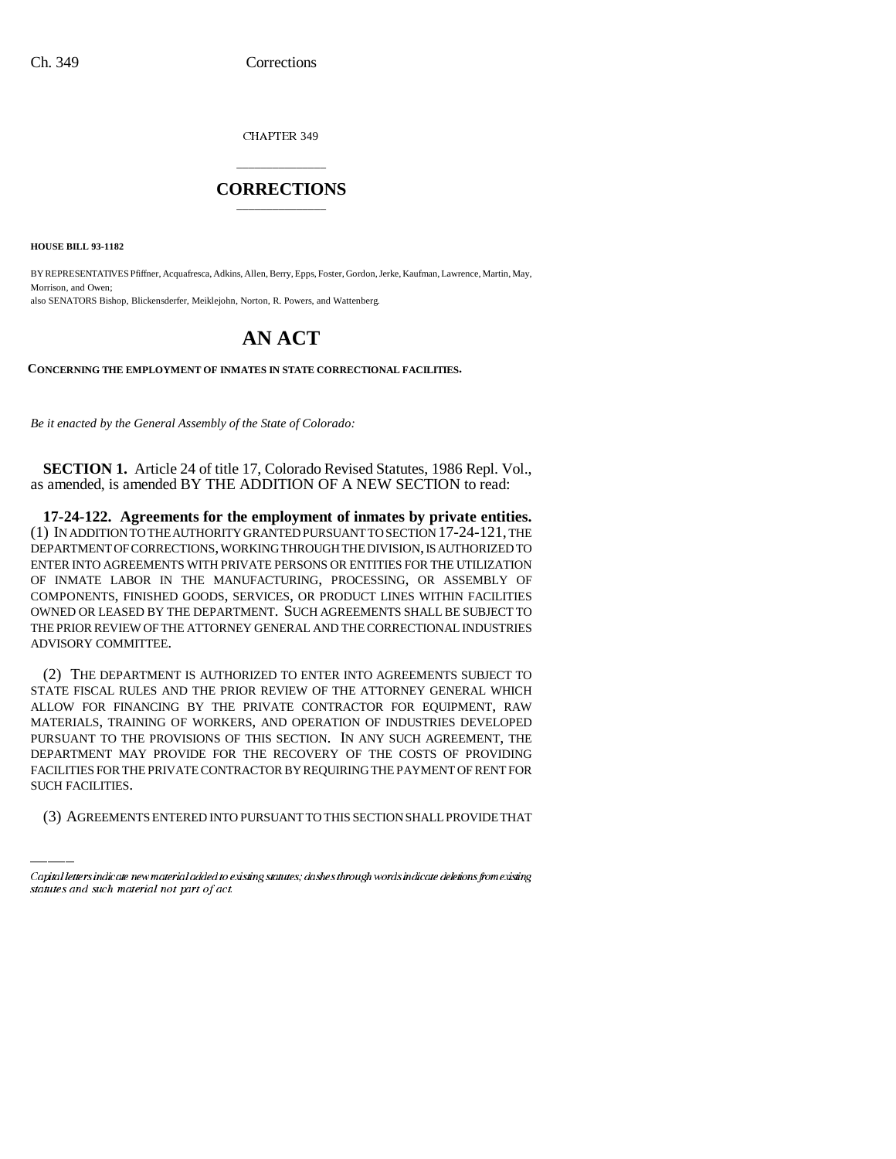CHAPTER 349

## \_\_\_\_\_\_\_\_\_\_\_\_\_\_\_ **CORRECTIONS** \_\_\_\_\_\_\_\_\_\_\_\_\_\_\_

**HOUSE BILL 93-1182**

BY REPRESENTATIVES Pfiffner, Acquafresca, Adkins, Allen, Berry, Epps, Foster, Gordon, Jerke, Kaufman, Lawrence, Martin, May, Morrison, and Owen: also SENATORS Bishop, Blickensderfer, Meiklejohn, Norton, R. Powers, and Wattenberg.

# **AN ACT**

**CONCERNING THE EMPLOYMENT OF INMATES IN STATE CORRECTIONAL FACILITIES.**

*Be it enacted by the General Assembly of the State of Colorado:*

**SECTION 1.** Article 24 of title 17, Colorado Revised Statutes, 1986 Repl. Vol., as amended, is amended BY THE ADDITION OF A NEW SECTION to read:

**17-24-122. Agreements for the employment of inmates by private entities.** (1) IN ADDITION TO THE AUTHORITY GRANTED PURSUANT TO SECTION 17-24-121, THE DEPARTMENT OF CORRECTIONS, WORKING THROUGH THE DIVISION, IS AUTHORIZED TO ENTER INTO AGREEMENTS WITH PRIVATE PERSONS OR ENTITIES FOR THE UTILIZATION OF INMATE LABOR IN THE MANUFACTURING, PROCESSING, OR ASSEMBLY OF COMPONENTS, FINISHED GOODS, SERVICES, OR PRODUCT LINES WITHIN FACILITIES OWNED OR LEASED BY THE DEPARTMENT. SUCH AGREEMENTS SHALL BE SUBJECT TO THE PRIOR REVIEW OF THE ATTORNEY GENERAL AND THE CORRECTIONAL INDUSTRIES ADVISORY COMMITTEE.

DEPARTMENT MAY PROVIDE FOR THE RECOVERY OF THE COSTS OF PROVIDING (2) THE DEPARTMENT IS AUTHORIZED TO ENTER INTO AGREEMENTS SUBJECT TO STATE FISCAL RULES AND THE PRIOR REVIEW OF THE ATTORNEY GENERAL WHICH ALLOW FOR FINANCING BY THE PRIVATE CONTRACTOR FOR EQUIPMENT, RAW MATERIALS, TRAINING OF WORKERS, AND OPERATION OF INDUSTRIES DEVELOPED PURSUANT TO THE PROVISIONS OF THIS SECTION. IN ANY SUCH AGREEMENT, THE FACILITIES FOR THE PRIVATE CONTRACTOR BY REQUIRING THE PAYMENT OF RENT FOR SUCH FACILITIES.

(3) AGREEMENTS ENTERED INTO PURSUANT TO THIS SECTION SHALL PROVIDE THAT

Capital letters indicate new material added to existing statutes; dashes through words indicate deletions from existing statutes and such material not part of act.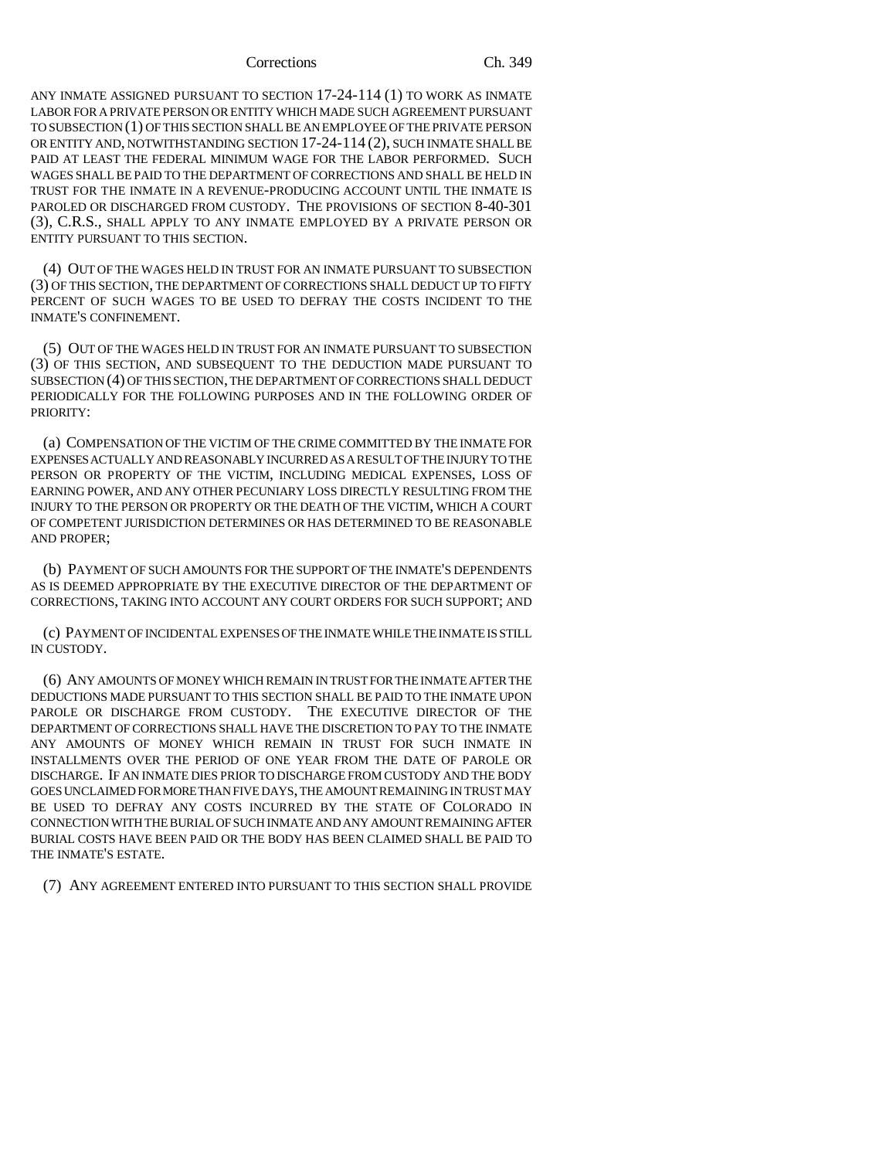#### Corrections Ch. 349

ANY INMATE ASSIGNED PURSUANT TO SECTION 17-24-114 (1) TO WORK AS INMATE LABOR FOR A PRIVATE PERSON OR ENTITY WHICH MADE SUCH AGREEMENT PURSUANT TO SUBSECTION (1) OF THIS SECTION SHALL BE AN EMPLOYEE OF THE PRIVATE PERSON OR ENTITY AND, NOTWITHSTANDING SECTION 17-24-114 (2), SUCH INMATE SHALL BE PAID AT LEAST THE FEDERAL MINIMUM WAGE FOR THE LABOR PERFORMED. SUCH WAGES SHALL BE PAID TO THE DEPARTMENT OF CORRECTIONS AND SHALL BE HELD IN TRUST FOR THE INMATE IN A REVENUE-PRODUCING ACCOUNT UNTIL THE INMATE IS PAROLED OR DISCHARGED FROM CUSTODY. THE PROVISIONS OF SECTION 8-40-301 (3), C.R.S., SHALL APPLY TO ANY INMATE EMPLOYED BY A PRIVATE PERSON OR ENTITY PURSUANT TO THIS SECTION.

(4) OUT OF THE WAGES HELD IN TRUST FOR AN INMATE PURSUANT TO SUBSECTION (3) OF THIS SECTION, THE DEPARTMENT OF CORRECTIONS SHALL DEDUCT UP TO FIFTY PERCENT OF SUCH WAGES TO BE USED TO DEFRAY THE COSTS INCIDENT TO THE INMATE'S CONFINEMENT.

(5) OUT OF THE WAGES HELD IN TRUST FOR AN INMATE PURSUANT TO SUBSECTION (3) OF THIS SECTION, AND SUBSEQUENT TO THE DEDUCTION MADE PURSUANT TO SUBSECTION (4) OF THIS SECTION, THE DEPARTMENT OF CORRECTIONS SHALL DEDUCT PERIODICALLY FOR THE FOLLOWING PURPOSES AND IN THE FOLLOWING ORDER OF PRIORITY:

(a) COMPENSATION OF THE VICTIM OF THE CRIME COMMITTED BY THE INMATE FOR EXPENSES ACTUALLY AND REASONABLY INCURRED AS A RESULT OF THE INJURY TO THE PERSON OR PROPERTY OF THE VICTIM, INCLUDING MEDICAL EXPENSES, LOSS OF EARNING POWER, AND ANY OTHER PECUNIARY LOSS DIRECTLY RESULTING FROM THE INJURY TO THE PERSON OR PROPERTY OR THE DEATH OF THE VICTIM, WHICH A COURT OF COMPETENT JURISDICTION DETERMINES OR HAS DETERMINED TO BE REASONABLE AND PROPER;

(b) PAYMENT OF SUCH AMOUNTS FOR THE SUPPORT OF THE INMATE'S DEPENDENTS AS IS DEEMED APPROPRIATE BY THE EXECUTIVE DIRECTOR OF THE DEPARTMENT OF CORRECTIONS, TAKING INTO ACCOUNT ANY COURT ORDERS FOR SUCH SUPPORT; AND

(c) PAYMENT OF INCIDENTAL EXPENSES OF THE INMATE WHILE THE INMATE IS STILL IN CUSTODY.

(6) ANY AMOUNTS OF MONEY WHICH REMAIN IN TRUST FOR THE INMATE AFTER THE DEDUCTIONS MADE PURSUANT TO THIS SECTION SHALL BE PAID TO THE INMATE UPON PAROLE OR DISCHARGE FROM CUSTODY. THE EXECUTIVE DIRECTOR OF THE DEPARTMENT OF CORRECTIONS SHALL HAVE THE DISCRETION TO PAY TO THE INMATE ANY AMOUNTS OF MONEY WHICH REMAIN IN TRUST FOR SUCH INMATE IN INSTALLMENTS OVER THE PERIOD OF ONE YEAR FROM THE DATE OF PAROLE OR DISCHARGE. IF AN INMATE DIES PRIOR TO DISCHARGE FROM CUSTODY AND THE BODY GOES UNCLAIMED FOR MORE THAN FIVE DAYS, THE AMOUNT REMAINING IN TRUST MAY BE USED TO DEFRAY ANY COSTS INCURRED BY THE STATE OF COLORADO IN CONNECTION WITH THE BURIAL OF SUCH INMATE AND ANY AMOUNT REMAINING AFTER BURIAL COSTS HAVE BEEN PAID OR THE BODY HAS BEEN CLAIMED SHALL BE PAID TO THE INMATE'S ESTATE.

(7) ANY AGREEMENT ENTERED INTO PURSUANT TO THIS SECTION SHALL PROVIDE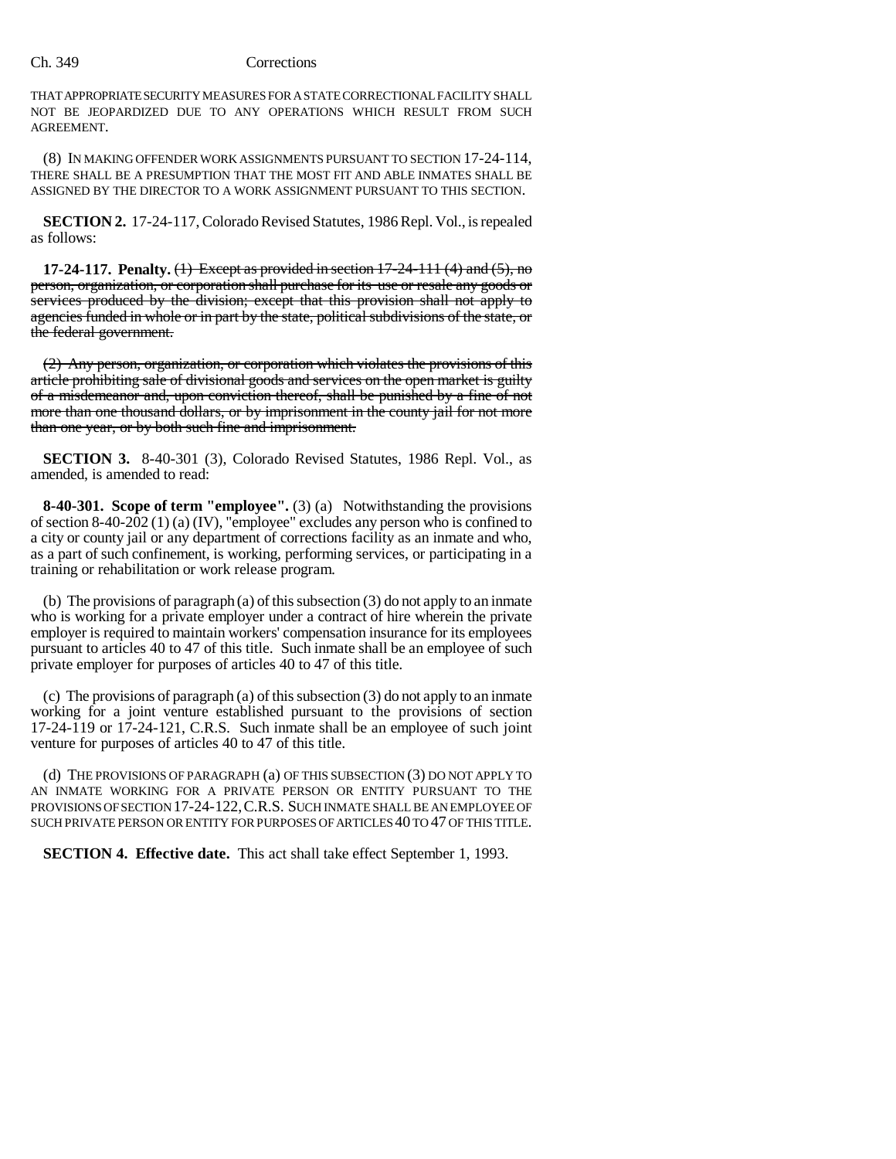### Ch. 349 Corrections

THAT APPROPRIATE SECURITY MEASURES FOR A STATE CORRECTIONAL FACILITY SHALL NOT BE JEOPARDIZED DUE TO ANY OPERATIONS WHICH RESULT FROM SUCH AGREEMENT.

(8) IN MAKING OFFENDER WORK ASSIGNMENTS PURSUANT TO SECTION 17-24-114, THERE SHALL BE A PRESUMPTION THAT THE MOST FIT AND ABLE INMATES SHALL BE ASSIGNED BY THE DIRECTOR TO A WORK ASSIGNMENT PURSUANT TO THIS SECTION.

**SECTION 2.** 17-24-117, Colorado Revised Statutes, 1986 Repl. Vol., is repealed as follows:

**17-24-117. Penalty.** (1) Except as provided in section 17-24-111 (4) and (5), no person, organization, or corporation shall purchase for its use or resale any goods or services produced by the division; except that this provision shall not apply to agencies funded in whole or in part by the state, political subdivisions of the state, or the federal government.

(2) Any person, organization, or corporation which violates the provisions of this article prohibiting sale of divisional goods and services on the open market is guilty of a misdemeanor and, upon conviction thereof, shall be punished by a fine of not more than one thousand dollars, or by imprisonment in the county jail for not more than one year, or by both such fine and imprisonment.

**SECTION 3.** 8-40-301 (3), Colorado Revised Statutes, 1986 Repl. Vol., as amended, is amended to read:

**8-40-301. Scope of term "employee".** (3) (a) Notwithstanding the provisions of section 8-40-202 (1) (a) (IV), "employee" excludes any person who is confined to a city or county jail or any department of corrections facility as an inmate and who, as a part of such confinement, is working, performing services, or participating in a training or rehabilitation or work release program.

(b) The provisions of paragraph (a) of this subsection (3) do not apply to an inmate who is working for a private employer under a contract of hire wherein the private employer is required to maintain workers' compensation insurance for its employees pursuant to articles 40 to 47 of this title. Such inmate shall be an employee of such private employer for purposes of articles 40 to 47 of this title.

(c) The provisions of paragraph (a) of this subsection (3) do not apply to an inmate working for a joint venture established pursuant to the provisions of section 17-24-119 or 17-24-121, C.R.S. Such inmate shall be an employee of such joint venture for purposes of articles 40 to 47 of this title.

(d) THE PROVISIONS OF PARAGRAPH (a) OF THIS SUBSECTION (3) DO NOT APPLY TO AN INMATE WORKING FOR A PRIVATE PERSON OR ENTITY PURSUANT TO THE PROVISIONS OF SECTION 17-24-122,C.R.S. SUCH INMATE SHALL BE AN EMPLOYEE OF SUCH PRIVATE PERSON OR ENTITY FOR PURPOSES OF ARTICLES 40 TO 47 OF THIS TITLE.

**SECTION 4. Effective date.** This act shall take effect September 1, 1993.